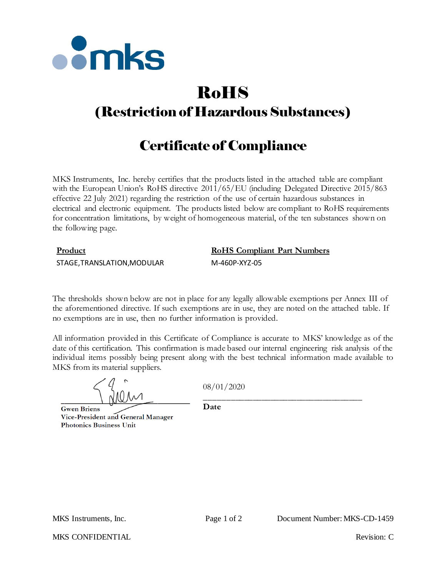

# RoHS

## (Restriction of Hazardous Substances)

## Certificate of Compliance

MKS Instruments, Inc. hereby certifies that the products listed in the attached table are compliant with the European Union's RoHS directive  $2011/65/EU$  (including Delegated Directive 2015/863 effective 22 July 2021) regarding the restriction of the use of certain hazardous substances in electrical and electronic equipment. The products listed below are compliant to RoHS requirements for concentration limitations, by weight of homogeneous material, of the ten substances shown on the following page.

### **Product RoHS Compliant Part Numbers**

STAGE,TRANSLATION,MODULAR M-460P-XYZ-05

The thresholds shown below are not in place for any legally allowable exemptions per Annex III of the aforementioned directive. If such exemptions are in use, they are noted on the attached table. If no exemptions are in use, then no further information is provided.

All information provided in this Certificate of Compliance is accurate to MKS' knowledge as of the date of this certification. This confirmation is made based our internal engineering risk analysis of the individual items possibly being present along with the best technical information made available to MKS from its material suppliers.

08/01/2020

**Gwen Briens** Vice-President and General Manager **Photonics Business Unit** 

\_\_\_\_\_\_\_\_\_\_\_\_\_\_\_\_\_\_\_\_\_\_\_\_\_\_\_\_\_\_\_\_\_\_\_\_ **Date**

MKS CONFIDENTIAL THE CONFIDENTIAL Revision: C